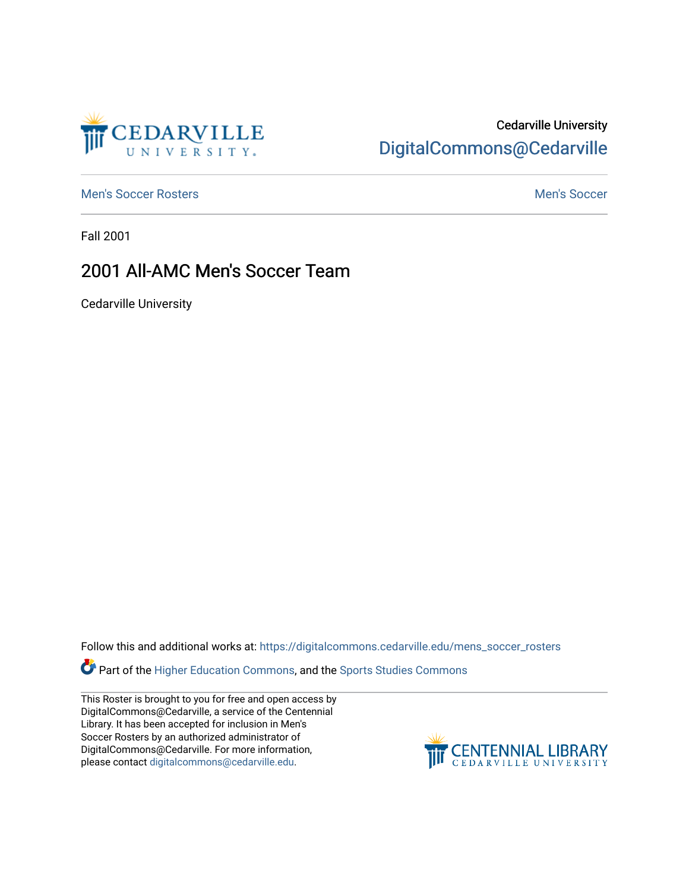

## Cedarville University [DigitalCommons@Cedarville](https://digitalcommons.cedarville.edu/)

[Men's Soccer Rosters](https://digitalcommons.cedarville.edu/mens_soccer_rosters) and [Men's Soccer](https://digitalcommons.cedarville.edu/mens_soccer) Men's Soccer Men's Soccer Men's Soccer Men's Soccer

Fall 2001

## 2001 All-AMC Men's Soccer Team

Cedarville University

Follow this and additional works at: [https://digitalcommons.cedarville.edu/mens\\_soccer\\_rosters](https://digitalcommons.cedarville.edu/mens_soccer_rosters?utm_source=digitalcommons.cedarville.edu%2Fmens_soccer_rosters%2F141&utm_medium=PDF&utm_campaign=PDFCoverPages) 

Part of the [Higher Education Commons,](http://network.bepress.com/hgg/discipline/1245?utm_source=digitalcommons.cedarville.edu%2Fmens_soccer_rosters%2F141&utm_medium=PDF&utm_campaign=PDFCoverPages) and the Sports Studies Commons

This Roster is brought to you for free and open access by DigitalCommons@Cedarville, a service of the Centennial Library. It has been accepted for inclusion in Men's Soccer Rosters by an authorized administrator of DigitalCommons@Cedarville. For more information, please contact [digitalcommons@cedarville.edu](mailto:digitalcommons@cedarville.edu).